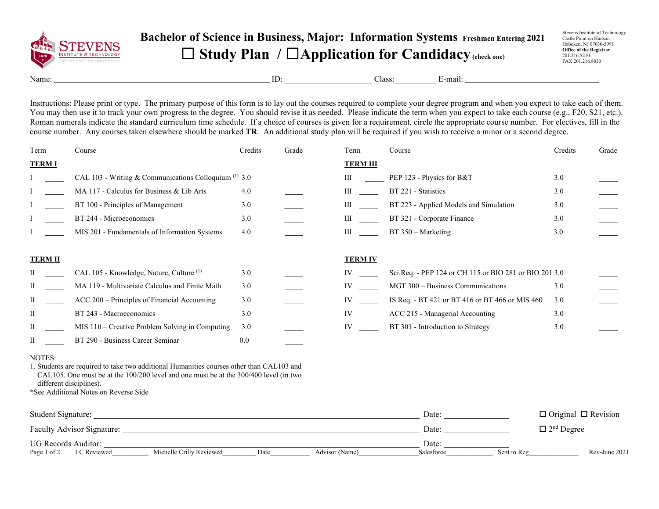

## **Bachelor of Science in Business, Major: Information Systems Freshmen Entering 2021** ☐ **Study Plan /** ☐**Application for Candidacy(check one)**

Stevens Institute of Technology Castle Point on Hudson Hoboken, NJ 07030-5991 **Office of the Registrar** 201.216.5210 FAX 201.216.8030

Name: E-mail:  $\Box$  E-mail:  $\Box$ 

Instructions: Please print or type. The primary purpose of this form is to lay out the courses required to complete your degree program and when you expect to take each of them. You may then use it to track your own progress to the degree. You should revise it as needed. Please indicate the term when you expect to take each course (e.g., F20, S21, etc.). Roman numerals indicate the standard curriculum time schedule. If a choice of courses is given for a requirement, circle the appropriate course number. For electives, fill in the course number. Any courses taken elsewhere should be marked **TR**. An additional study plan will be required if you wish to receive a minor or a second degree.

| Term           | Course                                                  | Credits | Grade | Term            | Course                                                 | Credits | Grade |
|----------------|---------------------------------------------------------|---------|-------|-----------------|--------------------------------------------------------|---------|-------|
| <b>TERM I</b>  |                                                         |         |       | <b>TERM III</b> |                                                        |         |       |
|                | CAL 103 - Writing & Communications Colloquium $(1)$ 3.0 |         |       | Ш               | PEP 123 - Physics for B&T                              | 3.0     |       |
|                | MA 117 - Calculus for Business & Lib Arts               | 4.0     |       | Ш               | BT 221 - Statistics                                    | 3.0     |       |
|                | BT 100 - Principles of Management                       | 3.0     |       | Ш               | BT 223 - Applied Models and Simulation                 | 3.0     |       |
|                | BT 244 - Microeconomics                                 | 3.0     |       | Ш               | BT 321 - Corporate Finance                             | 3.0     |       |
|                | MIS 201 - Fundamentals of Information Systems           | 4.0     |       | Ш               | $BT 350 - Marketing$                                   | 3.0     |       |
| <b>TERM II</b> |                                                         |         |       | <b>TERM IV</b>  |                                                        |         |       |
|                | CAL 105 - Knowledge, Nature, Culture <sup>(1)</sup>     | 3.0     |       | IV              | Sci.Req. - PEP 124 or CH 115 or BIO 281 or BIO 201 3.0 |         |       |
| П              | MA 119 - Multivariate Calculus and Finite Math          | 3.0     |       | IV              | MGT 300 - Business Communications                      | 3.0     |       |
| П              | ACC 200 – Principles of Financial Accounting            | 3.0     |       | IV              | IS Req. - BT 421 or BT 416 or BT 466 or MIS 460        | 3.0     |       |
| Н              | BT 243 - Macroeconomics                                 | 3.0     |       | IV              | ACC 215 - Managerial Accounting                        | 3.0     |       |
| П              | MIS 110 – Creative Problem Solving in Computing         | 3.0     |       | IV              | BT 301 - Introduction to Strategy                      | 3.0     |       |
| П              | BT 290 - Business Career Seminar                        | 0.0     |       |                 |                                                        |         |       |

## NOTES:

1. Students are required to take two additional Humanities courses other than CAL103 and CAL105. One must be at the 100/200 level and one must be at the 300/400 level (in two different disciplines).

\*See Additional Notes on Reverse Side

| Student Signature:                |                          |      |                | Date:      |             | $\Box$ Original $\Box$ Revision |
|-----------------------------------|--------------------------|------|----------------|------------|-------------|---------------------------------|
| <b>Faculty Advisor Signature:</b> |                          |      |                | Date:      |             | $\Box$ 2 <sup>nd</sup> Degree   |
| UG Records Auditor:               |                          |      |                | Date:      |             |                                 |
| Page 1 of 2<br>LC Reviewed        | Michelle Crilly Reviewed | Date | Advisor (Name) | Salesforce | Sent to Reg | Rev-June 2021                   |